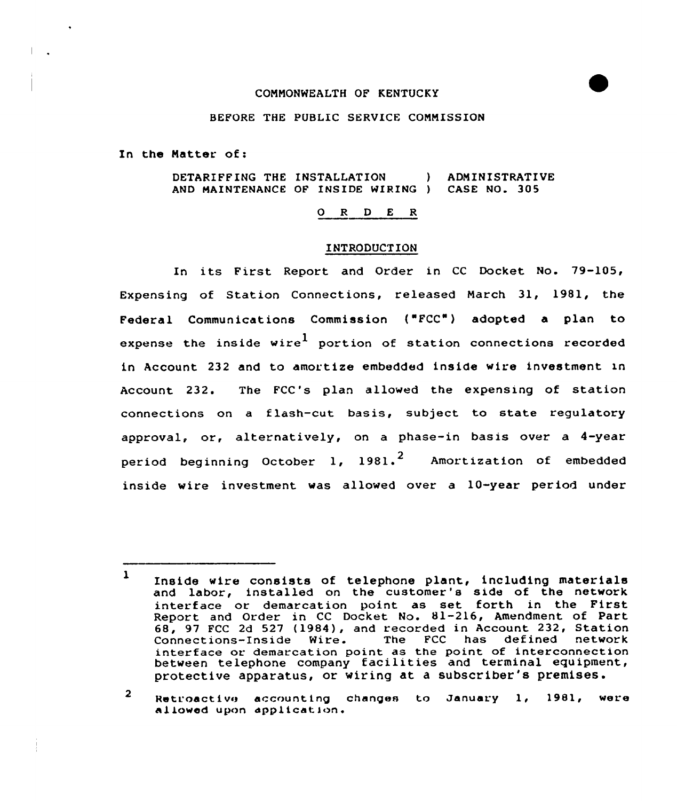# CONNONWEALTH OF KENTUCKY

# BEFORE THE PUBLIC SERVICE CONNISSION

In the Natter of:

DETARIFFING THE INSTALLATION ) ADNINISTRATIVE AND MAINTENANCE OF INSIDE WIRING ) CASE NO. 305

# 0 <sup>R</sup> <sup>D</sup> E <sup>R</sup>

### INTRODUCTION

In its First Report and Order in CC Docket No. 79-105, Expensing of Station Connections, released Narch 31, 1981, the Federal Communications Commission ("FCC") adopted a plan to expense the inside wire<sup>1</sup> portion of station connections recorded in Account 232 and to amortize embedded inside wire investment in Account 232. The FCC's plan allowed the expensing of station connections on a flash-cut basis, subject to state regulatory approval, or, alternatively, on a phase-in basis over a 4-year period beginning October 1, 1981.<sup>2</sup> Amortization of embedded inside wire investment was allowed over a 10-year period under

<sup>2</sup> Retroactive accounting changes to January 1, 1981, were allowed upon application.

<sup>1</sup> Inside wire consists of telephone plant, including materials and labor, installed on the customer's side of the network interface or demarcation point as set forth in the First Report and Order in CC Docket No. 81-216, Amendment of Part 68, 97 FCC 2d 527 (1984), and recorded in Account 232, Station<br>Connections-Inside Wire. The FCC has defined network The FCC has defined network interface or demarcation point as the point of interconnection between telephone company facilities and terminal equipment, protective apparatus, or wiring at a subscriber's premises.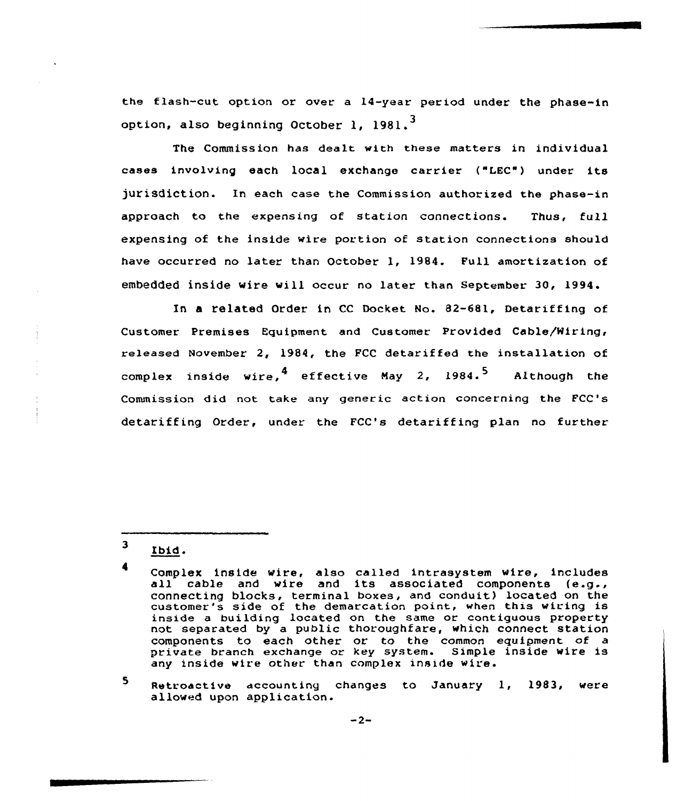the flash-cut option or over a 14-year period under the phase-in option, also beginning October 1. 1981.<sup>3</sup>

The Commission has dealt with these matters in individual cases involving each local exchange carrier {"f.EC"} under its jurisdiction. In each case the Commission authorized the phase-in approach to the expensing of station connections. Thus, full expensing of the inside wire portion of station connections should have occurred no later than October 1, 1984. Pull amortization of embedded inside wire will occur no later than September. 30, 1994.

In a related Order in CC Docket No. 82-681, Detariffing of Customer Premises Equipment and Customer Provided Cable/Miring, released November 2, 1984, the PCC detariffed the installation of complex inside wire,  $4$  effective May 2, 1984.<sup>5</sup> Although the Commission did not take any generic action concerning the FCC's detariffing Order, under the FCC's detariffing plan no further

 $\mathbf{3}$ Ibid.

5. Retroactive accounting changes to January 1, 1983, were allowed upon application.

Complex inside wire, also called intrasystem wire, includes all cable and wire and its associated components {e.g., cOnnecting blocks, terminal boxes, and conduit) located on the customer's side of the demarcation point, when this wiring is inside a building located on the same or contiguous property not separated by a public thoroughfare, which connect station components to each other or to the common equipment of private branch exchange or key system. Simple inside wire is any inside wire other than complex inside wire.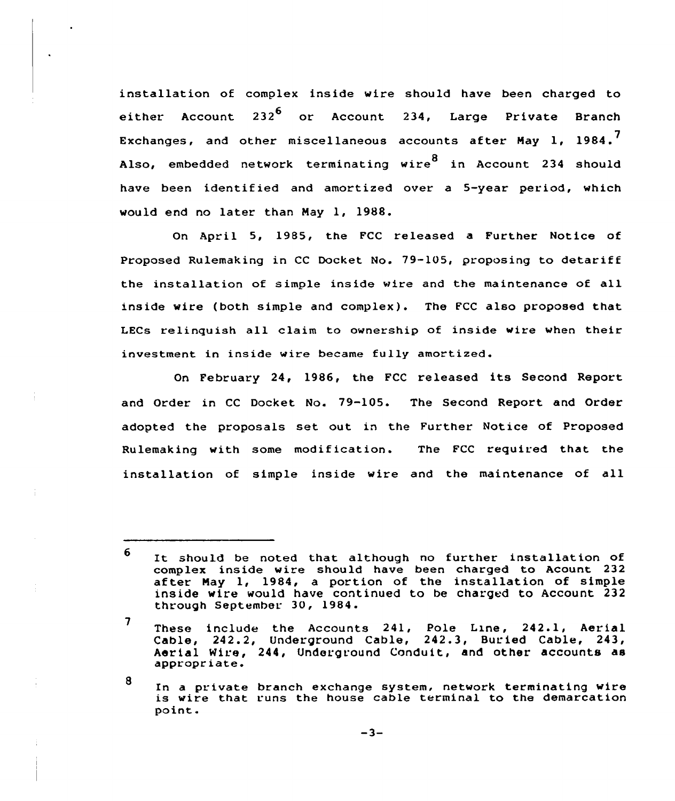installation of complex inside wire should have been charged to either Account 232 $<sup>6</sup>$  or Account 234, Large Private Branch</sup> Exchanges, and other miscellaneous accounts after Mav 1. 1984.<sup>7</sup> Also, embedded network terminating wire<sup>8</sup> in Account 234 should have been identified and amortized over a 5-year period, which would end no later than May 1, 1988.

On April 5, 1985, the FCC released a Further Notice of Proposed Rulemaking in CC Docket No. 79-105, proposing to detariff the installation of simple inside wire and the maintenance of all inside wire (both simple and complex). The FCC also proposed that LECs relinquish all claim to ownership of inside wire when their investment in inside wire became fully amortized.

February 24, 1986, the FCC released its Second Report and Order in CC Docket No. 79-105. The Second Report and Order adopted the proposals set out in the Further Notice of Proposed Rulemaking with some modification. The FCC requited that the installation of simple inside wire and the maintenance of all

8

<sup>6</sup> It should be noted that although no further installation of complex inside wire should have been charged to Acount 232 after May 1, 1984, a portion of the installation of simple inside wire would have continued to be charged to Account 232 through September 30, 1984.

 $\overline{7}$ These include the Accounts  $241$ , Pole Line,  $242.1$ , Aerial Cable, 242.2, Underground Cable, 242.3, Buried Cable, 243, Aerial Wire, 244, Underground Conduit, and other accounts as appropriate.

In a private branch exchange system, network terminating wire is wire that runs the house cable terminal to the demarcation point.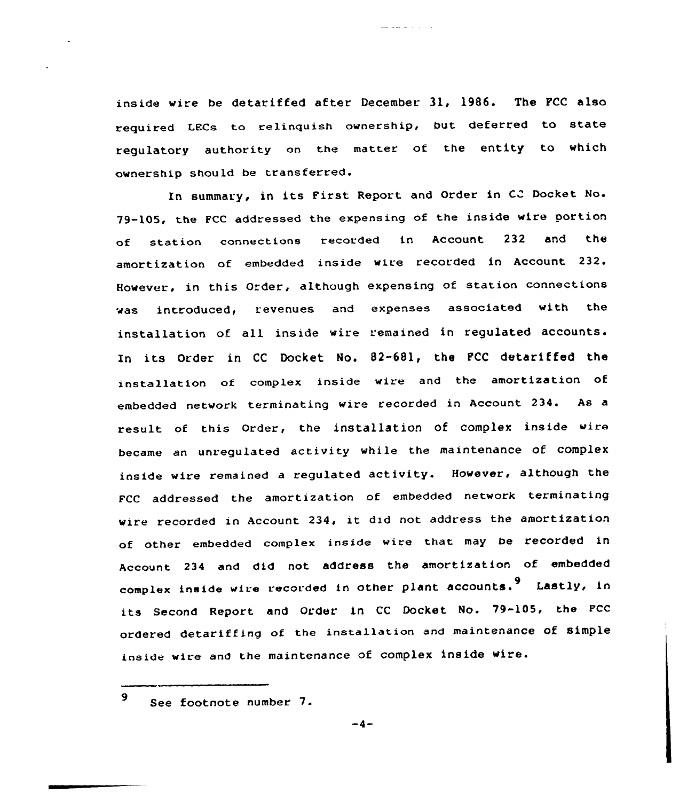inside wire be detariffed after December 31, 1986. The PCC also required LECs to relinquish ownership, but deferred to state regulatory authority on the matter ot the entity to which ownership should be transferred.

In summary, in its First Report and Order in CC Docket No. 79-105, the FCC addressed the expensing of the inside wire portion of station connections recorded in Account 232 and the amortization of embedded inside wire recorded in Account 232. However, in this Order, although expensing of station connections was introduced, revenues and expenses associated with the installation of all inside wire remained in regulated accounts. In its Order in CC Docket No. 82-681, the PCC detariffed the installation of complex inside wire and the amortization of embedded network terminating wire recorded in Account 234. As a result of this Order, the installation of complex inside wire became an unregulated activity while the maintenance of complex inside wire remained <sup>a</sup> regulated activity. However, although the FCC addressed the amortization of embedded network terminating wire recorded in Account 234, it did not address the amortization of other embedded complex inside wire that may be recorded in Account 234 and did not address the amortization of embedded complex inside wire recorded in other plant accounts.<sup>9</sup> Lastly, in its Second Report and Order in CC Docket No. 79-105, the FCC ordered detariffing of the installation and maintenance of simple inside wire and the maintenance of complex inside wire.

<sup>9</sup> See footnote number 7.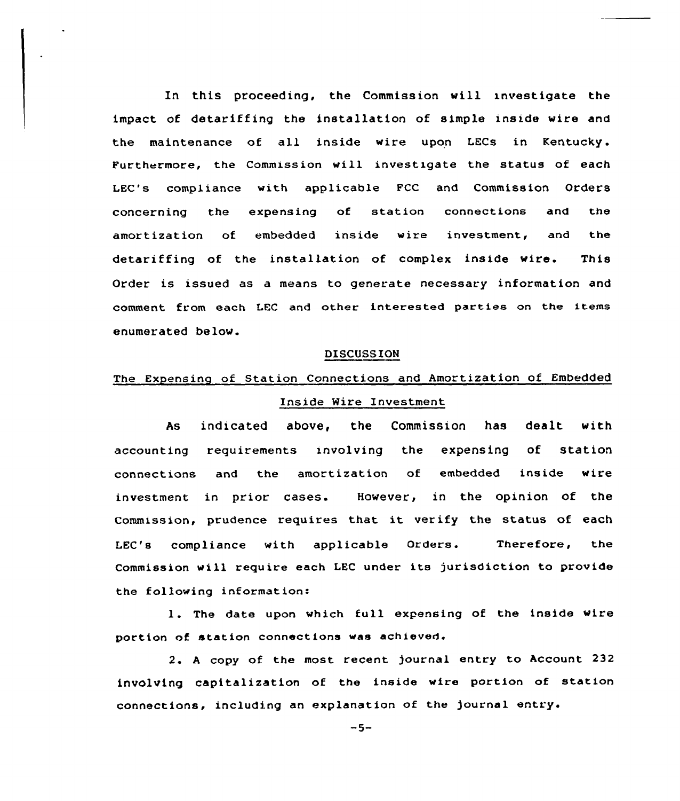In this proceeding, the Commission will investigate the impact af detariffing the installation of simple inside wire and the maintenance af all inside wire upon LECs in Kentucky. Furthermore, the Commission will investigate the status of each LEC's compliance with applicable FCC and Commission Orders concerning the expensing of station connections and the amortizatian of embedded inside wire investment, and the detariffing of the installation of complex inside wire. This Order is issued as a means to generate necessary information and comment from each LEC and other interested parties on the items enumerated below.

#### DISCUSSION

# The Expensing of Station Connections and Amortization of Embedded Inside Mire Investment

As indicated above, the Commission has dealt with accounting requirements invalving the expensing of station connections and the amortizatian of embedded inside wire investment in prior cases. However, in the opinion of the commission, prudence requires that it verify the status of each LEC's compliance with applicable Orders. Therefore, the Commission will require each LEC under its jurisdiction to provide the following information:

1. The date upon which full expensing of the inside wire portion of station connections was achieved.

2. <sup>A</sup> copy of the most recent journal entry to Account 232 involving capitalization of the inside wire portion of station connections, including an explanation of the journal entry.

 $-5-$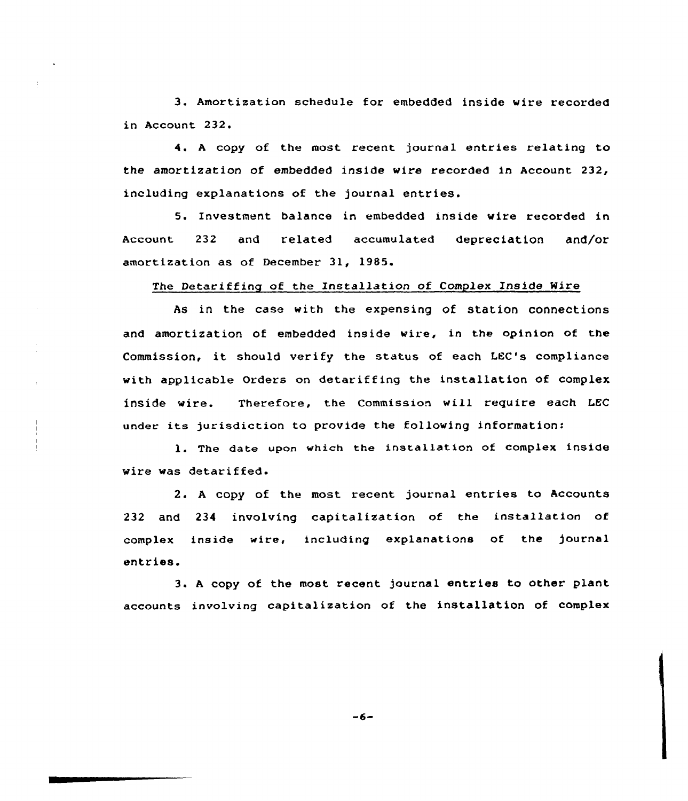3. Amortization schedule for embedded inside wire recorded in Account 232.

4. <sup>A</sup> copy of the mast recent journal entries relating to the amortization of embedded inside wire recorded in Account 232, including explanations of the journal entries.

5. Investment balance in embedded inside wire recorded in Account 232 and related accumulated depreciation and/or amortization as of December 31, 1985.

# The Detariffing of the Installation of Complex Inside Mire

As in the case with the expensing of station connections and amortization of embedded inside wire, in the opinion of the Commission, it should verify the status of each LEC's compliance with applicable Orders on detariffing the installation of complex inside wire. Therefore, the Commission will require each LEC under its jurisdiction to provide the following information:

1. The date upon which the installation of complex inside wire was detariffed.

2. A copy of the most recent journal entries to Accounts 232 and 234 involving capitalization of the installation of complex inside wire, including explanations of the journal entries.

3. <sup>A</sup> copy af the most recent journal entries to other plant accounts involving capitalization of the installation of complex

 $-6-$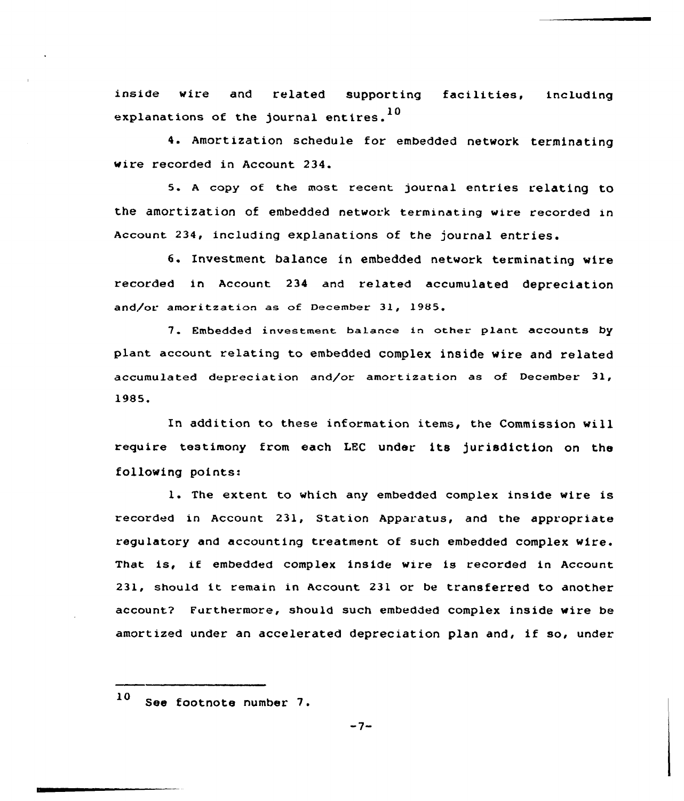inside wire and related supporting facilities, including explanations of the journal entires.<sup>10</sup>

4. Amortization schedule for embedded network terminating wire recorded in Account 234.

5. <sup>A</sup> copy of the most recent journal entries relating to the amortization of embedded network terminating wire recorded in Account 234, including explanations of the journal entries.

6. Investment balance in embedded network terminating wire recorded in Account 234 and related accumulated depreciation and/or amoritzation as of December 31, 1985,

7. Embedded investment balance in other plant accounts by plant account relating to embedded complex inside wire and related accumulated depreciation and/or amortization as of December 31, 1985<sup>~</sup>

In addition to these information items, the Commission will require testimony from each LEC under its )urisdiction on the following points:

1. The extent to which any embedded complex inside wire is recorded in Account 231, Station Apparatus, and the appropriate regulatory and accounting treatment of such embedded complex wire. That is, if embedded complex inside wire is recorded in Account 231, should it remain in Account. <sup>231</sup> or be transferred to another account? Furthermore, should such embedded complex inside wire be amortized under an accelerated depreciation plan and, if so, under

<sup>10</sup> See footnote number 7.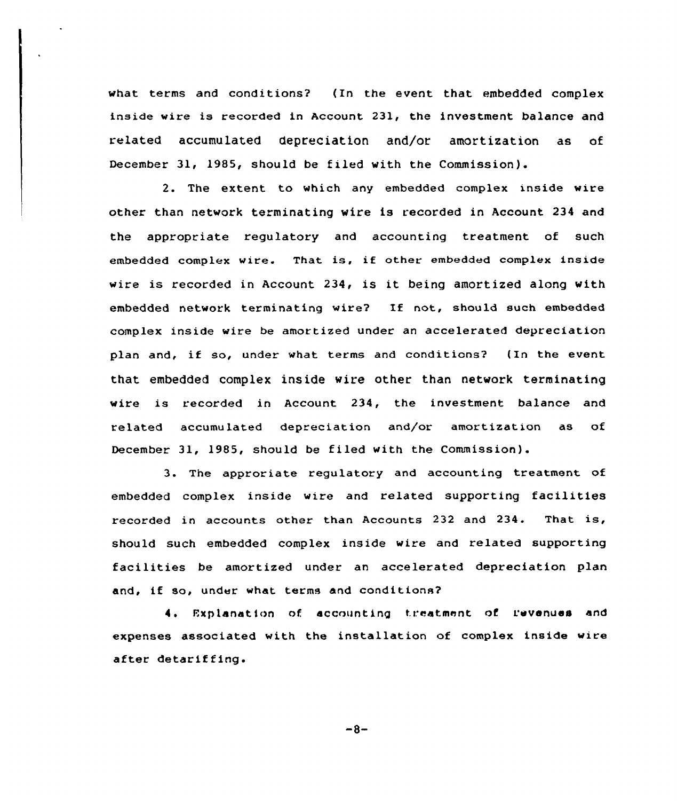what terms and conditions? (In the event that embedded complex inside wire is recorded in Account 231, the investment balance and related accumulated depreciation and/or amortization as of December 31, 1985, should be filed with the Commission).

2. The extent to which any embedded complex inside wire other than network terminating wire is recorded in Account 234 and the appropriate regulatory and accounting treatment of such embedded complex wire. That is, if other embedded complex inside wire is recorded in Account 234, is it being amortized along with embedded network terminating wire? If not, should such embedded complex inside wire be amortized under an accelerated depreciation plan and, if so, under what terms and conditions? (In the event that embedded complex inside wire other than network terminating wire is recorded in Account 234, the investment balance and related accumulated depreciation and/or amortization as of December 31, 1985, should be filed with the Commission).

3. The approriate regulatory and accounting treatment of embedded complex inside wire and related supporting facilities recorded in accounts other than Accounts <sup>232</sup> and 234. That is, should such embedded complex inside wire and related supporting facilities be amortized under an accelerated depreciation plan and, if so, under what terms and conditions?

4. Explanation of accounting treatment of revenues and expenses associated with the installation of complex inside wire after detariffing.

 $-8-$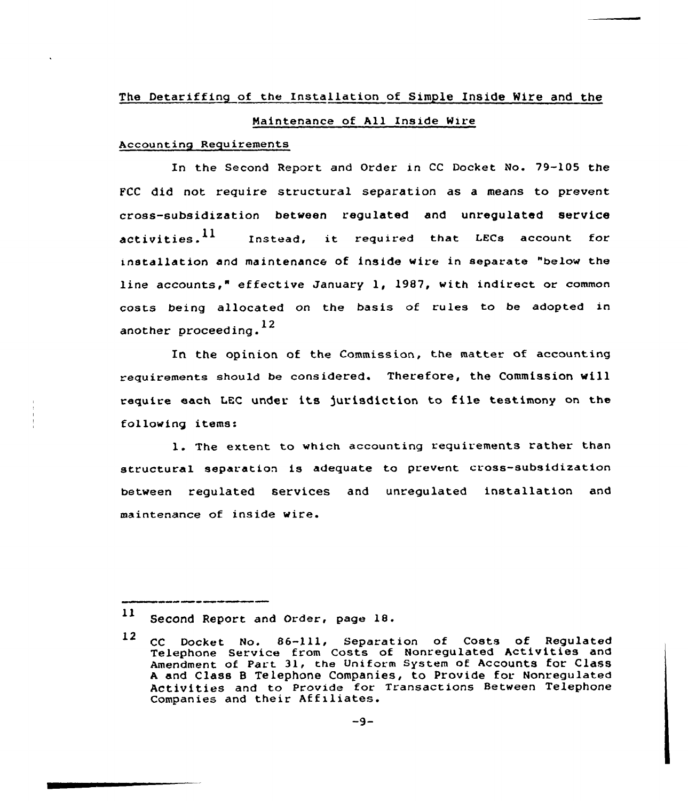# The Detariffing of the Installation of Simple Inside Wire and the

# Maintenance of All Inside Mire

### Accounting Requirements

In the Second Report and Order in CC Docket No. 79-105 the FCC did not require structural separation as a means to prevent cross-subsidization between regulated and unregulated service activities.<sup>11</sup> Instead, it required that LECs account for installation and maintenance of inside wire in separate "below the line accounts," effective January 1, 1987, with indirect or common costs being allocated on the basis of rules to be adopted in another proceeding.<sup>12</sup>

In the opinion of the Commission, the matter of accounting requirements should be considered. Therefore, the Commission will require each MC under its )urisdiction to file testimony on the following items:

1. The extent to which accounting requirements rather than structural separation is adequate to prevent cross-subsidization between regulated services and unregulated installation and maintenance of inside wire.

<sup>1)</sup> Second Report and order, page 18.

<sup>12</sup> CC Docket No. 86-111, Separation of Costs of Regulated Telephone Service from Costs of Nonregulated Activities and Amendment of Part 31, the Uniform System of Accounts for Class <sup>A</sup> and Class <sup>B</sup> Telephone Companies, to Provide for Nonregulated Activities and to Provide for Transactions Between Telephone Companies and their Affiliates.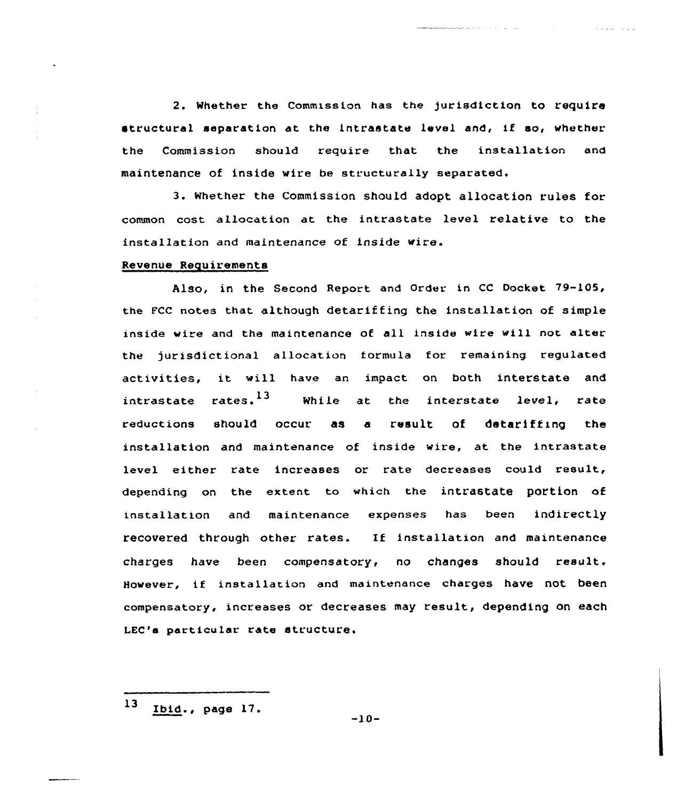2. whether the commission has the jurisdiction to require structural separation at the intrastate level and, if so, whether the Commission should require that the installation and maintenance of inside wire be structurally separated.

3. Whether the Commission should adopt allocation rules for common cost allocation at the intrastate level relative to the installation and maintenance of inside wire.

# Revenue Requirements

Also, in the Second Report and Order in CC Docket 79-105, the FCC notes that although detariffing the installation of simple inside wire and the maintenance of all inside wire will not alter the jurisdictional allocation iormula for remaining regulated activities, it will have an impact on both interstate and intrastate rates. $13$  While at the interstate level, rate reductions should occur as a result of detariffing the installation and maintenance of inside wire, at the intrastate level either rate increases or rate decreases could result, depending on the extent to which the intrastate portion of installation and maintenance expenses has been indirectly recovered through other rates. IE installation and maintenance charges have been compensatory, no changes should result. However, if installation and maintenance charges have not been compensatory, increases or decreases may result, depending on each LEC'a particular rate structure.

 $13$  $Ibid., page 17.$   $-10-$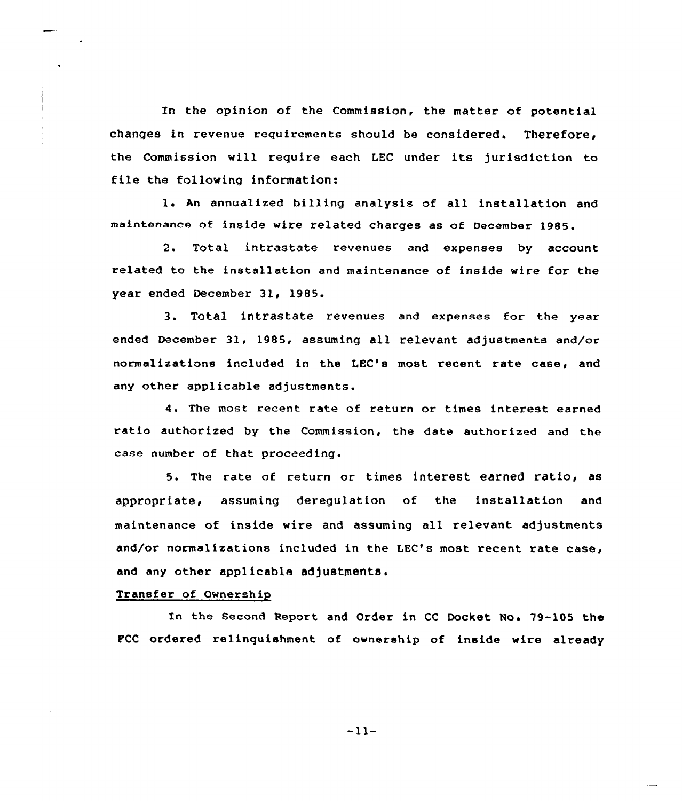In the opinion of the Commission, the matter of potential changes in revenue requirements should be considered. Therefore, the Commission will require each LEC under its jurisdiction to file the following information:

l. An annualized billing analysis of all installation and maintenance of inside wire related charges as of December 1985.

2. Total intrastate revenues and expenses by account related to the installation and maintenance of inside wire for the year ended December 31, 1985.

3. Total intrastate revenues and expenses for the year ended December 31, 1985, assuming all relevant adjustments and/or normalizations included in the LEC's most recent rate case, and any other applicable adjustments.

4. The most recent rate of return or times interest earned ratio authorized by the Commission, the date authorized and the case number of that proceeding.

5. The rate of return or times interest earned ratio, as appropriate, assuming deregulation of the installation and maintenance of inside wire and assuming all relevant adjustments and/or normalizations included in the LEC's most recent rate case, and any other applicable adjustments.

# Transfer of Ownership

In the Second Report and Order in CC Docket No. 79-105 the FCC ordered relinquishment of ownership of inside wire already

 $-11-$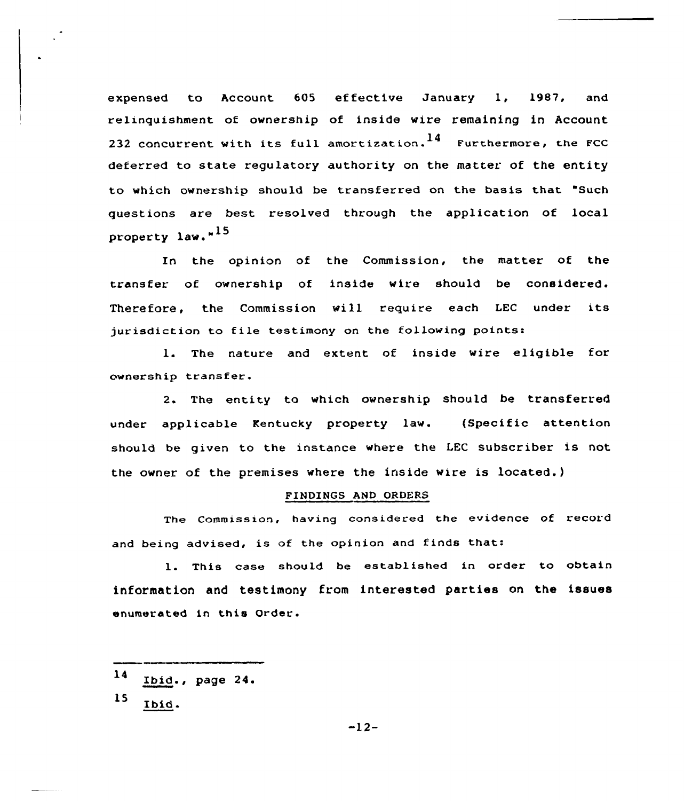expensed to Account 605 effective January 1, 1987, and relinquishment of ownership of inside wire remaining in Account 232 concurrent with its full amortization.  $^{14}$  Furthermore, the FCC deferred to state regulatory authority on the matter of the entity to which ownership should be transferred on the basis that "Such questions are best resolved through the application of local property law."<sup>15</sup>

In the opinion of the Commission, the matter of the transfer of ownership of inside wire should be considered. Therefore, the Commission will require each IEC under its jurisdiction to file testimony on the following points:

1. The nature and extent of inside wire eligible for ownership transfer.

2. The entity to which ownership should be transferred under applicable Kentucky property law. (Specific attention should be given to the instance where the LEC subscriber is not the owner of the premises where the inside wire is located.)

### FINDINGS AND ORDERS

The Commission, having considered the evidence of record and being advised, is of the opinion and finds that:

1. This case should be established in order to obtain information and testimony from interested parties on the issues enumerated in this Order.

- $14$ Ibid., page <sup>24</sup>
- 15 Ibid.

-12-